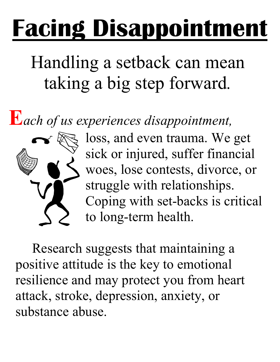## **Facing Disappointment**

## Handling a setback can mean taking a big step forward*.*

**E***ach of us experiences disappointment,*



loss, and even trauma. We get sick or injured, suffer financial woes, lose contests, divorce, or struggle with relationships. Coping with set-backs is critical to long-term health.

Research suggests that maintaining a positive attitude is the key to emotional resilience and may protect you from heart attack, stroke, depression, anxiety, or substance abuse.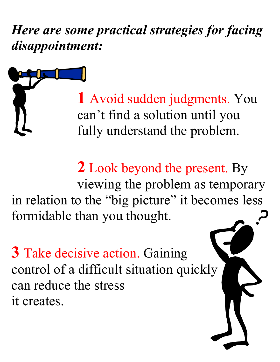*Here are some practical strategies for facing disappointment:* 

> **1** Avoid sudden judgments. You can't find a solution until you fully understand the problem.

**2** Look beyond the present. By viewing the problem as temporary in relation to the "big picture" it becomes less formidable than you thought.

**3** Take decisive action. Gaining control of a difficult situation quickly can reduce the stress it creates.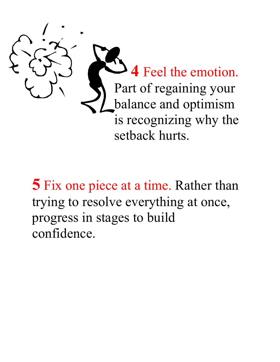

**5** Fix one piece at a time. Rather than trying to resolve everything at once, progress in stages to build confidence.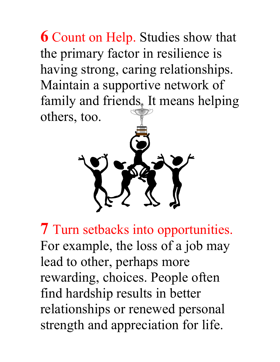**6** Count on Help. Studies show that the primary factor in resilience is having strong, caring relationships. Maintain a supportive network of family and friends. It means helping others, too.



**7** Turn setbacks into opportunities. For example, the loss of a job may lead to other, perhaps more rewarding, choices. People often find hardship results in better relationships or renewed personal strength and appreciation for life.